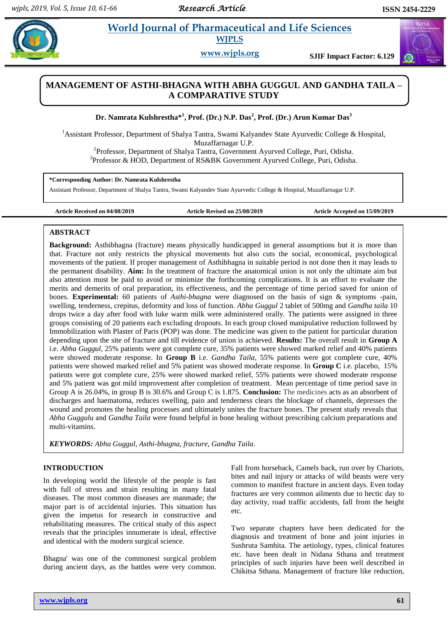$\omega$ 

# **Parameter** *is**World Journal of Pharmaceutical and Life Sciences* **WJPLS**

**www.wjpls.org SJIF Impact Factor: 6.129**

# **MANAGEMENT OF ASTHI-BHAGNA WITH ABHA GUGGUL AND GANDHA TAILA – A COMPARATIVE STUDY**

**Dr. Namrata Kulshrestha\* 1 , Prof. (Dr.) N.P. Das<sup>2</sup> , Prof. (Dr.) Arun Kumar Das<sup>3</sup>**

<sup>1</sup>Assistant Professor, Department of Shalya Tantra, Swami Kalyandev State Ayurvedic College & Hospital, Muzaffarnagar U.P.

<sup>2</sup>Professor, Department of Shalya Tantra, Government Ayurved College, Puri, Odisha. <sup>3</sup>Professor & HOD, Department of RS&BK Government Ayurved College, Puri, Odisha.

**\*Corresponding Author: Dr. Namrata Kulshrestha**

Assistant Professor, Department of Shalya Tantra, Swami Kalyandev State Ayurvedic College & Hospital, Muzaffarnagar U.P.

**Article Received on 04/08/2019 Article Revised on 25/08/2019 Article Accepted on 15/09/2019**

## **ABSTRACT**

**Background:** Asthibhagna (fracture) means physically handicapped in general assumptions but it is more than that. Fracture not only restricts the physical movements but also cuts the social, economical, psychological movements of the patient. If proper management of Asthibhagna in suitable period is not done then it may leads to the permanent disability. **Aim:** In the treatment of fracture the anatomical union is not only the ultimate aim but also attention must be paid to avoid or minimize the forthcoming complications. It is an effort to evaluate the merits and demerits of oral preparation, its effectiveness, and the percentage of time period saved for union of bones. **Experimental:** 60 patients of *Asthi-bhagna* were diagnosed on the basis of sign & symptoms -pain, swelling, tenderness, crepitus, deformity and loss of function. *Abha Guggul* 2 tablet of 500mg and *Gandha taila* 10 drops twice a day after food with luke warm milk were administered orally. The patients were assigned in three groups consisting of 20 patients each excluding dropouts. In each group closed manipulative reduction followed by Immobilization with Plaster of Paris (POP) was done. The medicine was given to the patient for particular duration depending upon the site of fracture and till evidence of union is achieved. **Results:** The overall result in **Group A** i.e. *Abha Guggul*, 25% patients were got complete cure, 35% patients were showed marked relief and 40% patients were showed moderate response. In **Group B** i.e. *Gandha Taila*, 55% patients were got complete cure, 40% patients were showed marked relief and 5% patient was showed moderate response. In **Group C** i.e. placebo, 15% patients were got complete cure, 25% were showed marked relief, 55% patients were showed moderate response and 5% patient was got mild improvement after completion of treatment. Mean percentage of time period save in Group A is 26.04%, in group B is 30.6% and Group C is 1.875. **Conclusion:** The medicines acts as an absorbent of discharges and haematoma, reduces swelling, pain and tenderness clears the blockage of channels, depresses the wound and promotes the healing processes and ultimately unites the fracture bones. The present study reveals that *Abha Guggulu* and *Gandha Taila* were found helpful in bone healing without prescribing calcium preparations and multi-vitamins.

*KEYWORDS: Abha Guggul, Asthi-bhagna, fracture, Gandha Taila.*

## **INTRODUCTION**

In developing world the lifestyle of the people is fast with full of stress and strain resulting in many fatal diseases. The most common diseases are manmade; the major part is of accidental injuries. This situation has given the impetus for research in constructive and rehabilitating measures. The critical study of this aspect reveals that the principles innumerate is ideal, effective and identical with the modern surgical science.

Bhagna' was one of the commonest surgical problem during ancient days, as the battles were very common.

Fall from horseback, Camels back, run over by Chariots, bites and nail injury or attacks of wild beasts were very common to manifest fracture in ancient days. Even today fractures are very common ailments due to hectic day to day activity, road traffic accidents, fall from the height etc.

Two separate chapters have been dedicated for the diagnosis and treatment of bone and joint injuries in Sushruta Samhita. The aetiology, types, clinical features etc. have been dealt in Nidana Sthana and treatment principles of such injuries have been well described in Chikitsa Sthana. Management of fracture like reduction,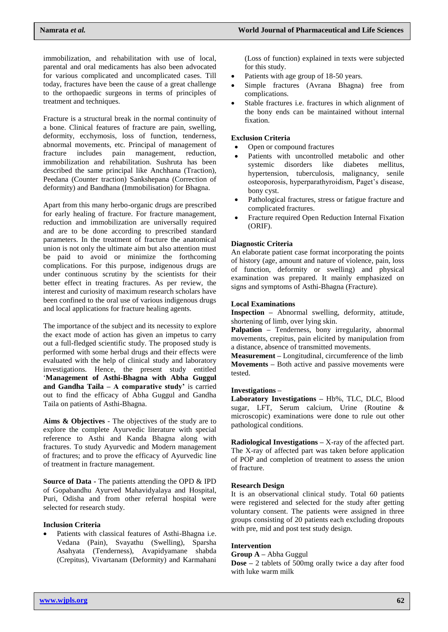immobilization, and rehabilitation with use of local, parental and oral medicaments has also been advocated for various complicated and uncomplicated cases. Till today, fractures have been the cause of a great challenge to the orthopaedic surgeons in terms of principles of treatment and techniques.

Fracture is a structural break in the normal continuity of a bone. Clinical features of fracture are pain, swelling, deformity, ecchymosis, loss of function, tenderness, abnormal movements, etc. Principal of management of fracture includes pain management, reduction, immobilization and rehabilitation. Sushruta has been described the same principal like Anchhana (Traction), Peedana (Counter traction) Sankshepana (Correction of deformity) and Bandhana (Immobilisation) for Bhagna.

Apart from this many herbo-organic drugs are prescribed for early healing of fracture. For fracture management, reduction and immobilization are universally required and are to be done according to prescribed standard parameters. In the treatment of fracture the anatomical union is not only the ultimate aim but also attention must be paid to avoid or minimize the forthcoming complications. For this purpose, indigenous drugs are under continuous scrutiny by the scientists for their better effect in treating fractures. As per review, the interest and curiosity of maximum research scholars have been confined to the oral use of various indigenous drugs and local applications for fracture healing agents.

The importance of the subject and its necessity to explore the exact mode of action has given an impetus to carry out a full-fledged scientific study. The proposed study is performed with some herbal drugs and their effects were evaluated with the help of clinical study and laboratory investigations. Hence, the present study entitled '**Management of Asthi-Bhagna with Abha Guggul and Gandha Taila – A comparative study'** is carried out to find the efficacy of Abha Guggul and Gandha Taila on patients of Asthi-Bhagna.

**Aims & Objectives** - The objectives of the study are to explore the complete Ayurvedic literature with special reference to Asthi and Kanda Bhagna along with fractures. To study Ayurvedic and Modern management of fractures; and to prove the efficacy of Ayurvedic line of treatment in fracture management.

**Source of Data -** The patients attending the OPD & IPD of Gopabandhu Ayurved Mahavidyalaya and Hospital, Puri, Odisha and from other referral hospital were selected for research study.

## **Inclusion Criteria**

 Patients with classical features of Asthi-Bhagna i.e. Vedana (Pain), Svayathu (Swelling), Sparsha Asahyata (Tenderness), Avapidyamane shabda (Crepitus), Vivartanam (Deformity) and Karmahani

(Loss of function) explained in texts were subjected for this study.

- Patients with age group of 18-50 years.
- Simple fractures (Avrana Bhagna) free from complications.
- Stable fractures i.e. fractures in which alignment of the bony ends can be maintained without internal fixation.

## **Exclusion Criteria**

- Open or compound fractures
- Patients with uncontrolled metabolic and other systemic disorders like diabetes mellitus, hypertension, tuberculosis, malignancy, senile osteoporosis, hyperparathyroidism, Paget's disease, bony cyst.
- Pathological fractures, stress or fatigue fracture and complicated fractures.
- Fracture required Open Reduction Internal Fixation (ORIF).

## **Diagnostic Criteria**

An elaborate patient case format incorporating the points of history (age, amount and nature of violence, pain, loss of function, deformity or swelling) and physical examination was prepared. It mainly emphasized on signs and symptoms of Asthi-Bhagna (Fracture).

## **Local Examinations**

**Inspection –** Abnormal swelling, deformity, attitude, shortening of limb, over lying skin.

**Palpation –** Tenderness, bony irregularity, abnormal movements, crepitus, pain elicited by manipulation from a distance, absence of transmitted movements.

**Measurement –** Longitudinal, circumference of the limb **Movements –** Both active and passive movements were tested.

## **Investigations –**

**Laboratory Investigations –** Hb%, TLC, DLC, Blood sugar, LFT, Serum calcium, Urine (Routine & microscopic) examinations were done to rule out other pathological conditions.

**Radiological Investigations –** X-ray of the affected part. The X-ray of affected part was taken before application of POP and completion of treatment to assess the union of fracture.

## **Research Design**

It is an observational clinical study. Total 60 patients were registered and selected for the study after getting voluntary consent. The patients were assigned in three groups consisting of 20 patients each excluding dropouts with pre, mid and post test study design.

# **Intervention**

## **Group A –** Abha Guggul

**Dose –** 2 tablets of 500mg orally twice a day after food with luke warm milk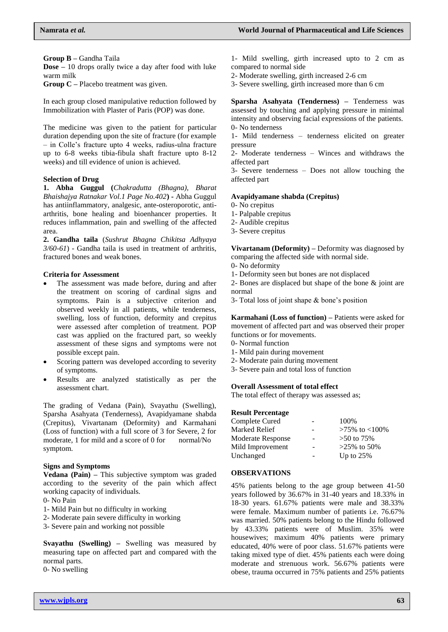**Group B –** Gandha Taila

**Dose –** 10 drops orally twice a day after food with luke warm milk

**Group C –** Placebo treatment was given.

In each group closed manipulative reduction followed by Immobilization with Plaster of Paris (POP) was done.

The medicine was given to the patient for particular duration depending upon the site of fracture (for example – in Colle's fracture upto 4 weeks, radius-ulna fracture up to 6-8 weeks tibia-fibula shaft fracture upto 8-12 weeks) and till evidence of union is achieved.

## **Selection of Drug**

**1. Abha Guggul (***Chakradutta (Bhagna), Bharat Bhaishajya Ratnakar Vol.1 Page No.402***) -** Abha Guggul has antiinflammatory, analgesic, ante-osteroporotic, antiarthritis, bone healing and bioenhancer properties. It reduces inflammation, pain and swelling of the affected area.

**2. Gandha taila** (*Sushrut Bhagna Chikitsa Adhyaya 3/60-61*) - Gandha taila is used in treatment of arthritis, fractured bones and weak bones.

## **Criteria for Assessment**

- The assessment was made before, during and after the treatment on scoring of cardinal signs and symptoms. Pain is a subjective criterion and observed weekly in all patients, while tenderness, swelling, loss of function, deformity and crepitus were assessed after completion of treatment. POP cast was applied on the fractured part, so weekly assessment of these signs and symptoms were not possible except pain.
- Scoring pattern was developed according to severity of symptoms.
- Results are analyzed statistically as per the assessment chart.

The grading of Vedana (Pain), Svayathu (Swelling), Sparsha Asahyata (Tenderness), Avapidyamane shabda (Crepitus), Vivartanam (Deformity) and Karmahani (Loss of function) with a full score of 3 for Severe, 2 for moderate, 1 for mild and a score of 0 for normal/No symptom.

## **Signs and Symptoms**

**Vedana (Pain) –** This subjective symptom was graded according to the severity of the pain which affect working capacity of individuals.

- 0- No Pain
- 1- Mild Pain but no difficulty in working
- 2- Moderate pain severe difficulty in working
- 3- Severe pain and working not possible

**Svayathu (Swelling) –** Swelling was measured by measuring tape on affected part and compared with the normal parts.

0- No swelling

1- Mild swelling, girth increased upto to 2 cm as compared to normal side

2- Moderate swelling, girth increased 2-6 cm

3- Severe swelling, girth increased more than 6 cm

**Sparsha Asahyata (Tenderness) –** Tenderness was assessed by touching and applying pressure in minimal intensity and observing facial expressions of the patients. 0- No tenderness

1- Mild tenderness – tenderness elicited on greater pressure

2- Moderate tenderness – Winces and withdraws the affected part

3- Severe tenderness – Does not allow touching the affected part

## **Avapidyamane shabda (Crepitus)**

0- No crepitus

- 1- Palpable crepitus
- 2- Audible crepitus
- 3- Severe crepitus

**Vivartanam (Deformity) –** Deformity was diagnosed by comparing the affected side with normal side.

- 0- No deformity
- 1- Deformity seen but bones are not displaced

2- Bones are displaced but shape of the bone & joint are normal

3- Total loss of joint shape & bone's position

**Karmahani (Loss of function) –** Patients were asked for movement of affected part and was observed their proper functions or for movements.

- 0- Normal function
- 1- Mild pain during movement
- 2- Moderate pain during movement
- 3- Severe pain and total loss of function

## **Overall Assessment of total effect**

The total effect of therapy was assessed as;

## **Result Percentage**

| Complete Cured    |   | 100%                |
|-------------------|---|---------------------|
| Marked Relief     |   | $>75\%$ to $<100\%$ |
| Moderate Response |   | $>50$ to 75%        |
| Mild Improvement  |   | $>25\%$ to 50%      |
| Unchanged         | ۰ | Up to $25%$         |
|                   |   |                     |

## **OBSERVATIONS**

45% patients belong to the age group between 41-50 years followed by 36.67% in 31-40 years and 18.33% in 18-30 years. 61.67% patients were male and 38.33% were female. Maximum number of patients i.e. 76.67% was married. 50% patients belong to the Hindu followed by 43.33% patients were of Muslim. 35% were housewives; maximum 40% patients were primary educated, 40% were of poor class. 51.67% patients were taking mixed type of diet. 45% patients each were doing moderate and strenuous work. 56.67% patients were obese, trauma occurred in 75% patients and 25% patients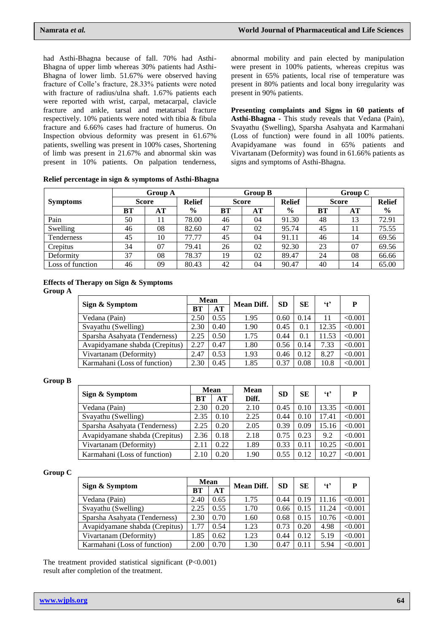had Asthi-Bhagna because of fall. 70% had Asthi-Bhagna of upper limb whereas 30% patients had Asthi-Bhagna of lower limb. 51.67% were observed having fracture of Colle's fracture, 28.33% patients were noted with fracture of radius/ulna shaft. 1.67% patients each were reported with wrist, carpal, metacarpal, clavicle fracture and ankle, tarsal and metatarsal fracture respectively. 10% patients were noted with tibia & fibula fracture and 6.66% cases had fracture of humerus. On Inspection obvious deformity was present in 61.67% patients, swelling was present in 100% cases, Shortening of limb was present in 21.67% and abnormal skin was present in 10% patients. On palpation tenderness,

abnormal mobility and pain elected by manipulation were present in 100% patients, whereas crepitus was present in 65% patients, local rise of temperature was present in 80% patients and local bony irregularity was present in 90% patients.

**Presenting complaints and Signs in 60 patients of Asthi-Bhagna -** This study reveals that Vedana (Pain), Svayathu (Swelling), Sparsha Asahyata and Karmahani (Loss of function) were found in all 100% patients. Avapidyamane was found in 65% patients and Vivartanam (Deformity) was found in 61.66% patients as signs and symptoms of Asthi-Bhagna.

|  |  |  |  | Relief percentage in sign & symptoms of Asthi-Bhagna |
|--|--|--|--|------------------------------------------------------|
|--|--|--|--|------------------------------------------------------|

|                  | <b>Group A</b> |              |               | <b>Group B</b> |              |               | Group C |              |               |  |
|------------------|----------------|--------------|---------------|----------------|--------------|---------------|---------|--------------|---------------|--|
| <b>Symptoms</b>  |                | <b>Score</b> | <b>Relief</b> |                | <b>Score</b> | <b>Relief</b> |         | <b>Score</b> | <b>Relief</b> |  |
|                  | BТ             | AT           | $\frac{6}{9}$ | ВT             | AT           | $\frac{6}{9}$ | BT      | AT           | $\frac{6}{6}$ |  |
| Pain             | 50             | 11           | 78.00         | 46             | 04           | 91.30         | 48      | 13           | 72.91         |  |
| Swelling         | 46             | 08           | 82.60         | 47             | 02           | 95.74         | 45      | 11           | 75.55         |  |
| Tenderness       | 45             | 10           | 77.77         | 45             | 04           | 91.11         | 46      | 14           | 69.56         |  |
| Crepitus         | 34             | 07           | 79.41         | 26             | 02           | 92.30         | 23      | 07           | 69.56         |  |
| Deformity        | 37             | 08           | 78.37         | 19             | 02           | 89.47         | 24      | 08           | 66.66         |  |
| Loss of function | 46             | 09           | 80.43         | 42             | 04           | 90.47         | 40      | 14           | 65.00         |  |

# **Effects of Therapy on Sign & Symptoms**

## **Group A**

|                                | Mean      |      | <b>Mean Diff.</b> | <b>SD</b> | SЕ   | $\cdot$ t | P       |
|--------------------------------|-----------|------|-------------------|-----------|------|-----------|---------|
| Sign & Symptom                 | <b>BT</b> | AT   |                   |           |      |           |         |
| Vedana (Pain)                  | 2.50      | 0.55 | 1.95              | 0.60      | 0.14 | 11        | < 0.001 |
| Svayathu (Swelling)            | 2.30      | 0.40 | 1.90              | 0.45      | 0.1  | 12.35     | < 0.001 |
| Sparsha Asahyata (Tenderness)  | 2.25      | 0.50 | 1.75              | 0.44      | 0.1  | 11.53     | < 0.001 |
| Avapidyamane shabda (Crepitus) | 2.27      | 0.47 | 1.80              | 0.56      | 0.14 | 7.33      | < 0.001 |
| Vivartanam (Deformity)         | 2.47      | 0.53 | 1.93              | 0.46      | 0.12 | 8.27      | < 0.001 |
| Karmahani (Loss of function)   | 2.30      | 0.45 | 1.85              | 0.37      | 0.08 | 10.8      | < 0.001 |

## **Group B**

|                                | <b>Mean</b> |      | <b>Mean</b> | <b>SD</b> | SE   | $\cdot$ t | P       |  |
|--------------------------------|-------------|------|-------------|-----------|------|-----------|---------|--|
| Sign & Symptom                 | BТ          | AT   | Diff.       |           |      |           |         |  |
| Vedana (Pain)                  | 2.30        | 0.20 | 2.10        | 0.45      | 0.10 | 13.35     | < 0.001 |  |
| Svayathu (Swelling)            | 2.35        | 0.10 | 2.25        | 0.44      | 0.10 | 17.41     | < 0.001 |  |
| Sparsha Asahyata (Tenderness)  | 2.25        | 0.20 | 2.05        | 0.39      | 0.09 | 15.16     | < 0.001 |  |
| Avapidyamane shabda (Crepitus) | 2.36        | 0.18 | 2.18        | 0.75      | 0.23 | 9.2       | < 0.001 |  |
| Vivartanam (Deformity)         | 2.11        | 0.22 | 1.89        | 0.33      | 0.11 | 10.25     | < 0.001 |  |
| Karmahani (Loss of function)   | 2.10        | 0.20 | 1.90        | 0.55      | 0.12 | 10.27     | < 0.001 |  |

## **Group C**

|                                | <b>Mean</b> |      | <b>Mean Diff.</b> | <b>SD</b> | <b>SE</b> | $\cdot$ r | P       |  |
|--------------------------------|-------------|------|-------------------|-----------|-----------|-----------|---------|--|
| Sign & Symptom                 | BT          | AT   |                   |           |           |           |         |  |
| Vedana (Pain)                  | 2.40        | 0.65 | 1.75              | 0.44      | 0.19      | 11.16     | < 0.001 |  |
| Svayathu (Swelling)            | 2.25        | 0.55 | 1.70              | 0.66      | 0.15      | 11.24     | < 0.001 |  |
| Sparsha Asahyata (Tenderness)  | 2.30        | 0.70 | 1.60              | 0.68      | 0.15      | 10.76     | < 0.001 |  |
| Avapidyamane shabda (Crepitus) | 1.77        | 0.54 | 1.23              | 0.73      | 0.20      | 4.98      | < 0.001 |  |
| Vivartanam (Deformity)         | 1.85        | 0.62 | 1.23              | 0.44      | 0.12      | 5.19      | < 0.001 |  |
| Karmahani (Loss of function)   | 2.00        | 0.70 | 1.30              | 0.47      | 0.11      | 5.94      | < 0.001 |  |

The treatment provided statistical significant (P<0.001) result after completion of the treatment.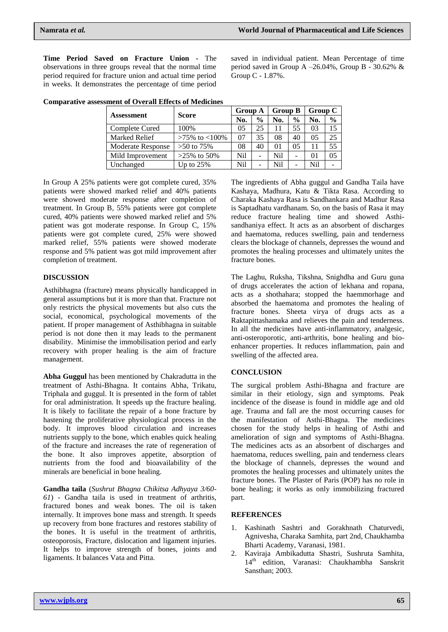**Time Period Saved on Fracture Union -** The observations in three groups reveal that the normal time period required for fracture union and actual time period in weeks. It demonstrates the percentage of time period

saved in individual patient. Mean Percentage of time period saved in Group A  $-26.04\%$ , Group B - 30.62% & Group C - 1.87%.

|                   |                     | <b>Group A</b> |               | <b>Group B</b> |               | <b>Group C</b> |                |
|-------------------|---------------------|----------------|---------------|----------------|---------------|----------------|----------------|
| <b>Assessment</b> | <b>Score</b>        | No.            | $\frac{0}{0}$ | No.            | $\frac{0}{0}$ | No.            | $\frac{0}{0}$  |
| Complete Cured    | 100%                | 0 <sub>5</sub> | 25            |                | 55            | 03             | 15             |
| Marked Relief     | $>75\%$ to $<100\%$ | 07             | 35            | 08             | 40            | 0 <sub>5</sub> | 25             |
| Moderate Response | $>50$ to 75%        | 08             | 40            | 01             | 05            |                | 55             |
| Mild Improvement  | $>25\%$ to 50%      | Nil            | -             | Nil            | ۰             | $\Omega$       | 0 <sub>5</sub> |
| Unchanged         | Up to $25%$         | Nil            | -             | Nil            | -             | Nil            |                |

**Comparative assessment of Overall Effects of Medicines**

In Group A 25% patients were got complete cured, 35% patients were showed marked relief and 40% patients were showed moderate response after completion of treatment. In Group B, 55% patients were got complete cured, 40% patients were showed marked relief and 5% patient was got moderate response. In Group C, 15% patients were got complete cured, 25% were showed marked relief, 55% patients were showed moderate response and 5% patient was got mild improvement after completion of treatment.

## **DISCUSSION**

Asthibhagna (fracture) means physically handicapped in general assumptions but it is more than that. Fracture not only restricts the physical movements but also cuts the social, economical, psychological movements of the patient. If proper management of Asthibhagna in suitable period is not done then it may leads to the permanent disability. Minimise the immobilisation period and early recovery with proper healing is the aim of fracture management.

**Abha Guggul** has been mentioned by Chakradutta in the treatment of Asthi-Bhagna. It contains Abha, Trikatu, Triphala and guggul. It is presented in the form of tablet for oral administration. It speeds up the fracture healing. It is likely to facilitate the repair of a bone fracture by hastening the proliferative physiological process in the body. It improves blood circulation and increases nutrients supply to the bone, which enables quick healing of the fracture and increases the rate of regeneration of the bone. It also improves appetite, absorption of nutrients from the food and bioavailability of the minerals are beneficial in bone healing.

**Gandha taila** (*Sushrut Bhagna Chikitsa Adhyaya 3/60- 61*) - Gandha taila is used in treatment of arthritis, fractured bones and weak bones. The oil is taken internally. It improves bone mass and strength. It speeds up recovery from bone fractures and restores stability of the bones. It is useful in the treatment of arthritis, osteoporosis, Fracture, dislocation and ligament injuries. It helps to improve strength of bones, joints and ligaments. It balances Vata and Pitta.

The ingredients of Abha guggul and Gandha Taila have Kashaya, Madhura, Katu & Tikta Rasa. According to Charaka Kashaya Rasa is Sandhankara and Madhur Rasa is Saptadhatu vardhanam. So, on the basis of Rasa it may reduce fracture healing time and showed Asthisandhaniya effect. It acts as an absorbent of discharges and haematoma, reduces swelling, pain and tenderness clears the blockage of channels, depresses the wound and promotes the healing processes and ultimately unites the fracture bones.

The Laghu, Ruksha, Tikshna, Snighdha and Guru guna of drugs accelerates the action of lekhana and ropana, acts as a shothahara; stopped the haemmorhage and absorbed the haematoma and promotes the healing of fracture bones. Sheeta virya of drugs acts as a Raktapittashamaka and relieves the pain and tenderness. In all the medicines have anti-inflammatory, analgesic, anti-osteroporotic, anti-arthritis, bone healing and bioenhancer properties. It reduces inflammation, pain and swelling of the affected area.

## **CONCLUSION**

The surgical problem Asthi-Bhagna and fracture are similar in their etiology, sign and symptoms. Peak incidence of the disease is found in middle age and old age. Trauma and fall are the most occurring causes for the manifestation of Asthi-Bhagna. The medicines chosen for the study helps in healing of Asthi and amelioration of sign and symptoms of Asthi-Bhagna. The medicines acts as an absorbent of discharges and haematoma, reduces swelling, pain and tenderness clears the blockage of channels, depresses the wound and promotes the healing processes and ultimately unites the fracture bones. The Plaster of Paris (POP) has no role in bone healing; it works as only immobilizing fractured part.

## **REFERENCES**

- 1. Kashinath Sashtri and Gorakhnath Chaturvedi, Agnivesha, Charaka Samhita, part 2nd, Chaukhamba Bharti Academy, Varanasi, 1981.
- 2. Kaviraja Ambikadutta Shastri, Sushruta Samhita, 14th edition, Varanasi: Chaukhambha Sanskrit Sansthan; 2003.